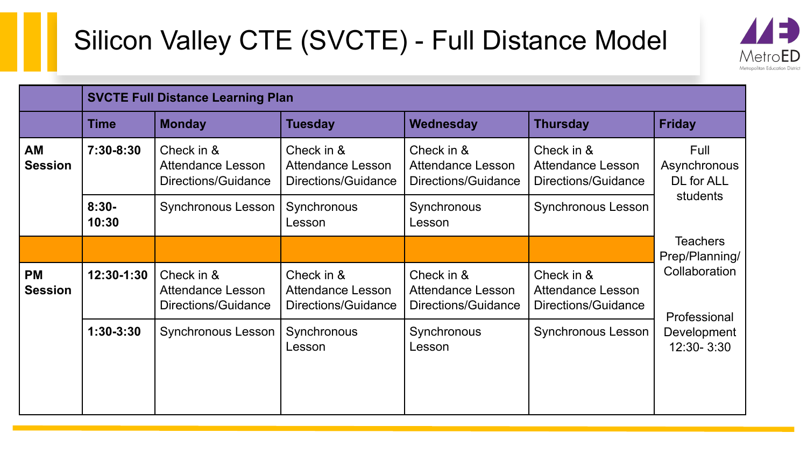## Silicon Valley CTE (SVCTE) - Full Distance Model



|                             | <b>SVCTE Full Distance Learning Plan</b> |                                                        |                                                        |                                                        |                                                        |                                                |  |
|-----------------------------|------------------------------------------|--------------------------------------------------------|--------------------------------------------------------|--------------------------------------------------------|--------------------------------------------------------|------------------------------------------------|--|
|                             | Time                                     | <b>Monday</b>                                          | <b>Tuesday</b>                                         | Wednesday                                              | <b>Thursday</b>                                        | <b>Friday</b>                                  |  |
| AM<br><b>Session</b>        | 7:30-8:30                                | Check in &<br>Attendance Lesson<br>Directions/Guidance | Check in &<br>Attendance Lesson<br>Directions/Guidance | Check in &<br>Attendance Lesson<br>Directions/Guidance | Check in &<br>Attendance Lesson<br>Directions/Guidance | Full<br>Asynchronous<br>DL for ALL<br>students |  |
|                             | $8:30-$<br>10:30                         | Synchronous Lesson                                     | Synchronous<br>Lesson                                  | Synchronous<br>Lesson                                  | Synchronous Lesson                                     |                                                |  |
|                             |                                          |                                                        |                                                        |                                                        |                                                        | <b>Teachers</b><br>Prep/Planning/              |  |
| <b>PM</b><br><b>Session</b> | 12:30-1:30                               | Check in &<br>Attendance Lesson<br>Directions/Guidance | Check in &<br>Attendance Lesson<br>Directions/Guidance | Check in &<br>Attendance Lesson<br>Directions/Guidance | Check in &<br>Attendance Lesson<br>Directions/Guidance | Collaboration<br>Professional                  |  |
|                             | $1:30-3:30$                              | Synchronous Lesson                                     | Synchronous<br>Lesson                                  | Synchronous<br>Lesson                                  | Synchronous Lesson                                     | Development<br>12:30-3:30                      |  |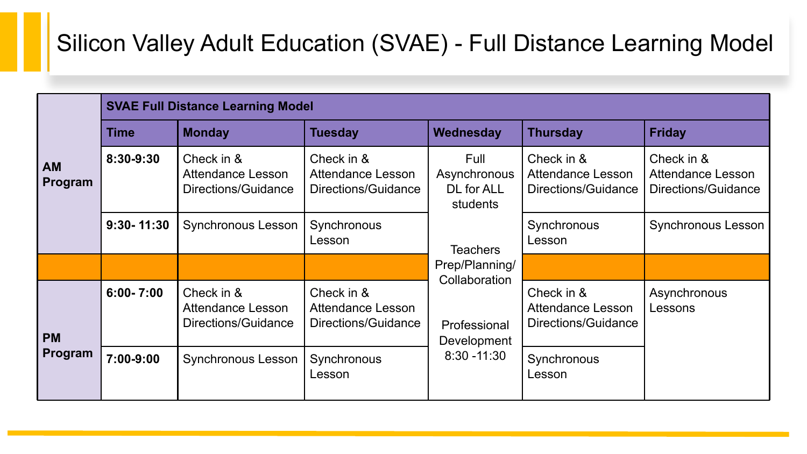### Silicon Valley Adult Education (SVAE) - Full Distance Learning Model

|                      | <b>SVAE Full Distance Learning Model</b> |                                                        |                                                        |                                                |                                                        |                                                        |  |  |
|----------------------|------------------------------------------|--------------------------------------------------------|--------------------------------------------------------|------------------------------------------------|--------------------------------------------------------|--------------------------------------------------------|--|--|
| <b>AM</b><br>Program | <b>Time</b>                              | <b>Monday</b>                                          | <b>Tuesday</b>                                         | <b>Wednesday</b>                               | <b>Thursday</b>                                        | <b>Friday</b>                                          |  |  |
|                      | 8:30-9:30                                | Check in &<br>Attendance Lesson<br>Directions/Guidance | Check in &<br>Attendance Lesson<br>Directions/Guidance | Full<br>Asynchronous<br>DL for ALL<br>students | Check in &<br>Attendance Lesson<br>Directions/Guidance | Check in &<br>Attendance Lesson<br>Directions/Guidance |  |  |
|                      | $9:30 - 11:30$                           | Synchronous Lesson                                     | Synchronous<br>Lesson                                  | <b>Teachers</b>                                | Synchronous<br>Lesson                                  | Synchronous Lesson                                     |  |  |
|                      |                                          |                                                        |                                                        | Prep/Planning/<br>Collaboration                |                                                        |                                                        |  |  |
| <b>PM</b><br>Program | $6:00 - 7:00$                            | Check in &<br>Attendance Lesson<br>Directions/Guidance | Check in &<br>Attendance Lesson<br>Directions/Guidance | Professional<br>Development                    | Check in &<br>Attendance Lesson<br>Directions/Guidance | Asynchronous<br>Lessons                                |  |  |
|                      | 7:00-9:00                                | Synchronous Lesson                                     | Synchronous<br>Lesson                                  | $8:30 - 11:30$                                 | Synchronous<br>Lesson                                  |                                                        |  |  |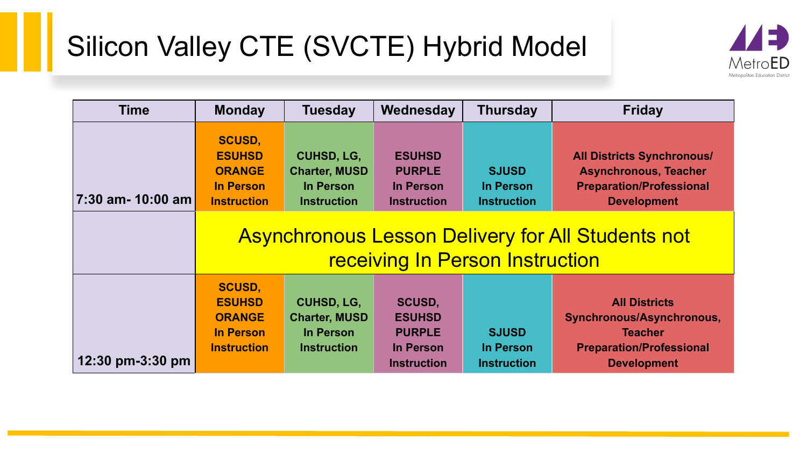## Silicon Valley CTE (SVCTE) Hybrid Model



| <b>Time</b>       | <b>Monday</b>                                                                             | <b>Tuesday</b>                                                               | Wednesday                                                                   | <b>Thursday</b>                                                                    | <b>Friday</b>                                                                                                                                                                          |
|-------------------|-------------------------------------------------------------------------------------------|------------------------------------------------------------------------------|-----------------------------------------------------------------------------|------------------------------------------------------------------------------------|----------------------------------------------------------------------------------------------------------------------------------------------------------------------------------------|
| 7:30 am- 10:00 am | <b>SCUSD,</b><br><b>ESUHSD</b><br><b>ORANGE</b><br><b>In Person</b><br><b>Instruction</b> | <b>CUHSD, LG,</b><br><b>Charter, MUSD</b><br>In Person<br><b>Instruction</b> | <b>ESUHSD</b><br><b>PURPLE</b><br>In Person<br><b>Instruction</b>           | <b>SJUSD</b><br>In Person<br><b>Instruction</b><br>receiving In Person Instruction | <b>All Districts Synchronous/</b><br><b>Asynchronous, Teacher</b><br><b>Preparation/Professional</b><br><b>Development</b><br><b>Asynchronous Lesson Delivery for All Students not</b> |
| 12:30 pm-3:30 pm  | <b>SCUSD,</b><br><b>ESUHSD</b><br><b>ORANGE</b><br><b>In Person</b><br><b>Instruction</b> | CUHSD, LG,<br><b>Charter, MUSD</b><br>In Person<br><b>Instruction</b>        | SCUSD,<br><b>ESUHSD</b><br><b>PURPLE</b><br>In Person<br><b>Instruction</b> | <b>SJUSD</b><br>In Person<br><b>Instruction</b>                                    | <b>All Districts</b><br>Synchronous/Asynchronous,<br><b>Teacher</b><br><b>Preparation/Professional</b><br><b>Development</b>                                                           |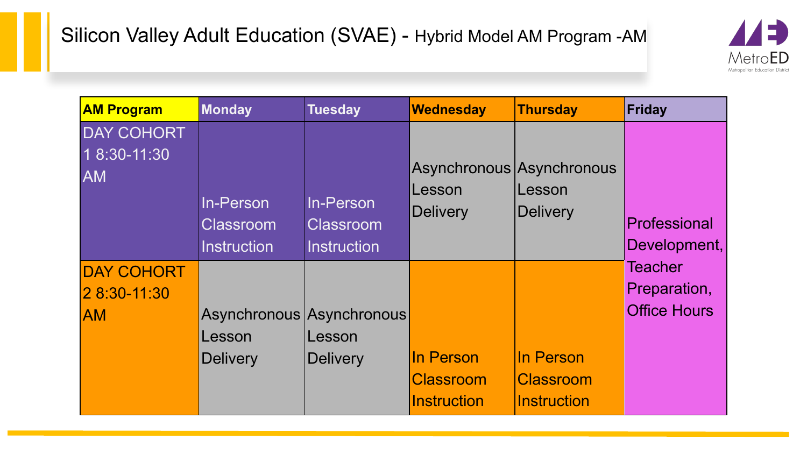

| <b>AM Program</b>         | <b>Monday</b>                 | <b>Tuesday</b>                | <b>Wednesday</b>                                       | Thursday                  | Friday              |
|---------------------------|-------------------------------|-------------------------------|--------------------------------------------------------|---------------------------|---------------------|
| <b>DAY COHORT</b>         |                               |                               |                                                        |                           |                     |
| 1 8:30-11:30<br><b>AM</b> | In-Person<br><b>Classroom</b> | In-Person<br><b>Classroom</b> | Asynchronous Asynchronous<br>Lesson<br><b>Delivery</b> | Lesson<br><b>Delivery</b> | Professional        |
|                           | <b>Instruction</b>            | <b>Instruction</b>            |                                                        |                           | Development,        |
| <b>DAY COHORT</b>         |                               |                               |                                                        |                           | <b>Teacher</b>      |
| 2 8:30-11:30              |                               |                               |                                                        |                           | Preparation,        |
| <b>AM</b>                 | Asynchronous Asynchronous     |                               |                                                        |                           | <b>Office Hours</b> |
|                           | Lesson                        | Lesson                        |                                                        |                           |                     |
|                           | <b>Delivery</b>               | Delivery                      | In Person                                              | In Person                 |                     |
|                           |                               |                               | <b>Classroom</b>                                       | <b>Classroom</b>          |                     |
|                           |                               |                               | Instruction                                            | <b>Instruction</b>        |                     |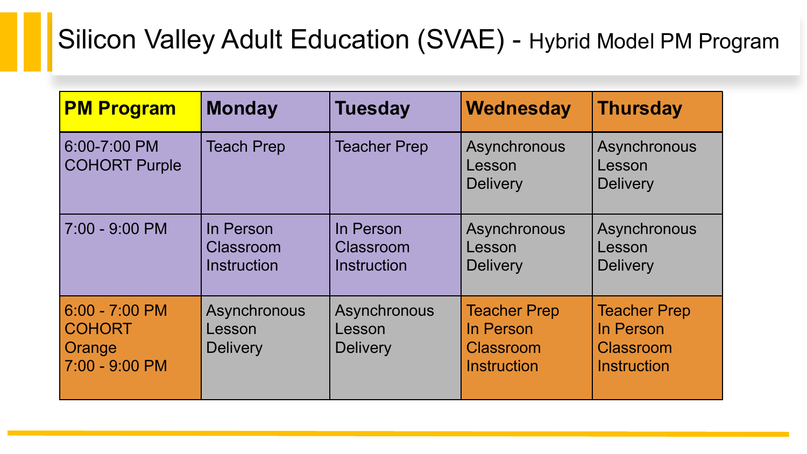### Silicon Valley Adult Education (SVAE) - Hybrid Model PM Program

| <b>PM Program</b>                                             | <b>Monday</b>                                | <b>Tuesday</b>                               | <b>Wednesday</b>                                                           | <b>Thursday</b>                                                            |
|---------------------------------------------------------------|----------------------------------------------|----------------------------------------------|----------------------------------------------------------------------------|----------------------------------------------------------------------------|
| 6:00-7:00 PM<br><b>COHORT Purple</b>                          | <b>Teach Prep</b>                            | <b>Teacher Prep</b>                          | Asynchronous<br>Lesson<br><b>Delivery</b>                                  | Asynchronous<br>Lesson<br><b>Delivery</b>                                  |
| 7:00 - 9:00 PM                                                | In Person<br>Classroom<br><b>Instruction</b> | In Person<br>Classroom<br><b>Instruction</b> | Asynchronous<br>Lesson<br><b>Delivery</b>                                  | Asynchronous<br>Lesson<br><b>Delivery</b>                                  |
| $6:00 - 7:00$ PM<br><b>COHORT</b><br>Orange<br>7:00 - 9:00 PM | Asynchronous<br>Lesson<br><b>Delivery</b>    | Asynchronous<br>Lesson<br><b>Delivery</b>    | <b>Teacher Prep</b><br>In Person<br><b>Classroom</b><br><b>Instruction</b> | <b>Teacher Prep</b><br>In Person<br><b>Classroom</b><br><b>Instruction</b> |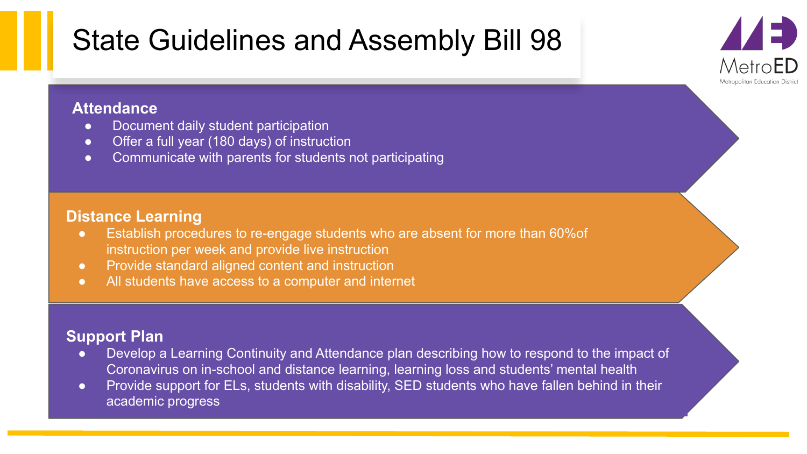## State Guidelines and Assembly Bill 98

- **Statendance**<br>■ Document daily student participation<br>■ Document daily student participation
	- Offer a full year (180 days) of instruction
	- Communicate with parents for students not participating

### **Distance Learning**

- Establish procedures to re-engage students who are absent for more than 60%of instruction per week and provide live instruction
- Provide standard aligned content and instruction
- All students have access to a computer and internet

### **Support Plan**

● Develop a Learning Continuity and Attendance plan describing how to respond to the impact of Coronavirus on in-school and distance learning, learning loss and students' mental health

 $MetroFD$ Metropolitan Education District

● Provide support for ELs, students with disability, SED students who have fallen behind in their academic progress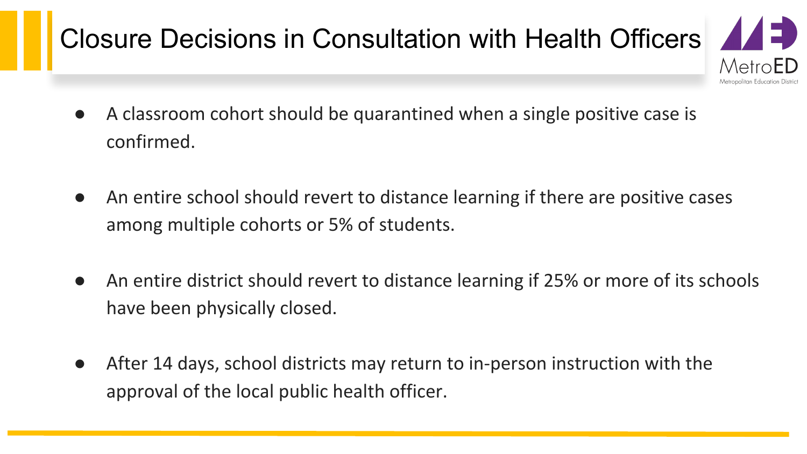# Closure Decisions in Consultation with Health Officers  $\Box$

- MetroED Metropolitan Education Distric
- A classroom cohort should be quarantined when a single positive case is confirmed.
- An entire school should revert to distance learning if there are positive cases among multiple cohorts or 5% of students.
- An entire district should revert to distance learning if 25% or more of its schools have been physically closed.
- After 14 days, school districts may return to in-person instruction with the approval of the local public health officer.